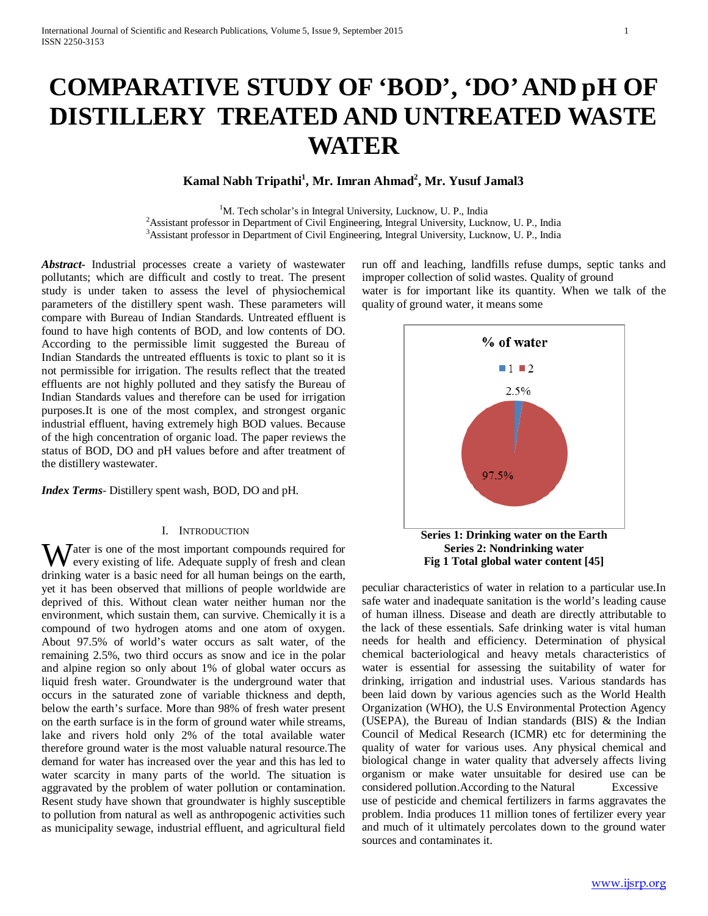# **COMPARATIVE STUDY OF 'BOD', 'DO' AND pH OF DISTILLERY TREATED AND UNTREATED WASTE WATER**

# $\mathbf{K}$ amal Nabh Tripathi<sup>1</sup>, Mr. Imran Ahmad<sup>2</sup>, Mr. Yusuf Jamal3

<sup>1</sup>M. Tech scholar's in Integral University, Lucknow, U. P., India <sup>1</sup>M. Tech scholar's in Integral University, Lucknow, U. P., India<sup>2</sup> Assistant professor in Department of Civil Engineering, Integral University, Luck Assistant professor in Department of Civil Engineering, Integral University, Lucknow, U. P., India<br><sup>3</sup>Assistant professor in Department of Civil Engineering, Integral University, Lucknow, U. P., India <sup>3</sup> Assistant professor in Department of Civil Engineering, Integral University, Lucknow, U. P., India

*Abstract***-** Industrial processes create a variety of wastewater pollutants; which are difficult and costly to treat. The present study is under taken to assess the level of physiochemical parameters of the distillery spent wash. These parameters will compare with Bureau of Indian Standards. Untreated effluent is found to have high contents of BOD, and low contents of DO. According to the permissible limit suggested the Bureau of Indian Standards the untreated effluents is toxic to plant so it is not permissible for irrigation. The results reflect that the treated effluents are not highly polluted and they satisfy the Bureau of Indian Standards values and therefore can be used for irrigation purposes.It is one of the most complex, and strongest organic industrial effluent, having extremely high BOD values. Because of the high concentration of organic load. The paper reviews the status of BOD, DO and pH values before and after treatment of the distillery wastewater.

*Index Terms*- Distillery spent wash, BOD, DO and pH.

#### I. INTRODUCTION

Water is one of the most important compounds required for every existing of life. Adequate supply of fresh and clean every existing of life. Adequate supply of fresh and clean drinking water is a basic need for all human beings on the earth, yet it has been observed that millions of people worldwide are deprived of this. Without clean water neither human nor the environment, which sustain them, can survive. Chemically it is a compound of two hydrogen atoms and one atom of oxygen. About 97.5% of world's water occurs as salt water, of the remaining 2.5%, two third occurs as snow and ice in the polar and alpine region so only about 1% of global water occurs as liquid fresh water. Groundwater is the underground water that occurs in the saturated zone of variable thickness and depth, below the earth's surface. More than 98% of fresh water present on the earth surface is in the form of ground water while streams, lake and rivers hold only 2% of the total available water therefore ground water is the most valuable natural resource.The demand for water has increased over the year and this has led to water scarcity in many parts of the world. The situation is aggravated by the problem of water pollution or contamination. Resent study have shown that groundwater is highly susceptible to pollution from natural as well as anthropogenic activities such as municipality sewage, industrial effluent, and agricultural field

run off and leaching, landfills refuse dumps, septic tanks and improper collection of solid wastes. Quality of ground water is for important like its quantity. When we talk of the quality of ground water, it means some



peculiar characteristics of water in relation to a particular use.In safe water and inadequate sanitation is the world's leading cause of human illness. Disease and death are directly attributable to the lack of these essentials. Safe drinking water is vital human needs for health and efficiency. Determination of physical chemical bacteriological and heavy metals characteristics of water is essential for assessing the suitability of water for drinking, irrigation and industrial uses. Various standards has been laid down by various agencies such as the World Health Organization (WHO), the U.S Environmental Protection Agency (USEPA), the Bureau of Indian standards (BIS) & the Indian Council of Medical Research (ICMR) etc for determining the quality of water for various uses. Any physical chemical and biological change in water quality that adversely affects living organism or make water unsuitable for desired use can be considered pollution.According to the Natural Excessive use of pesticide and chemical fertilizers in farms aggravates the problem. India produces 11 million tones of fertilizer every year and much of it ultimately percolates down to the ground water sources and contaminates it.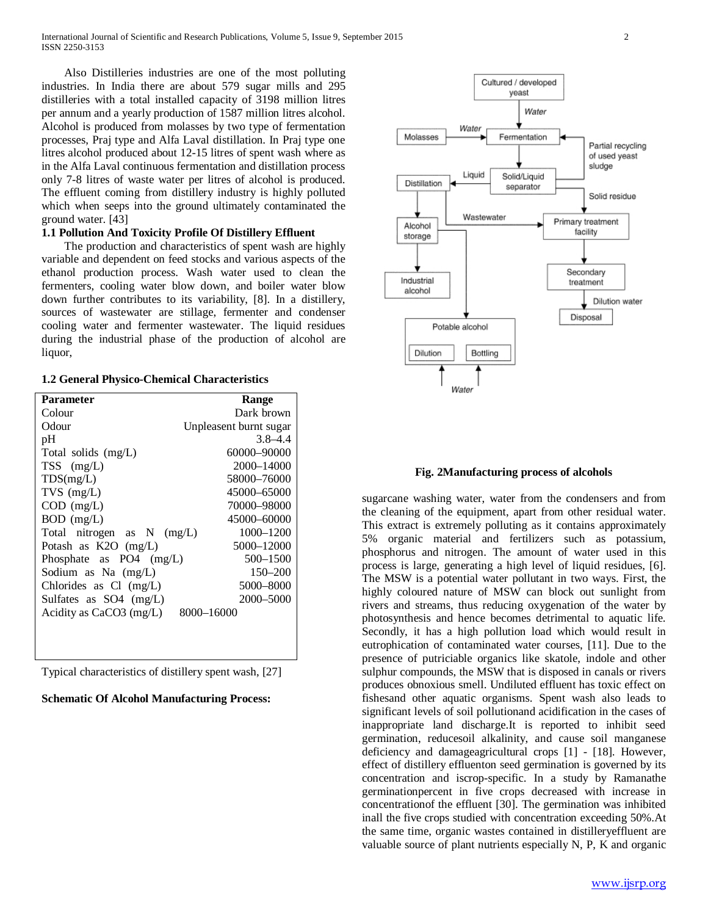Also Distilleries industries are one of the most polluting industries. In India there are about 579 sugar mills and 295 distilleries with a total installed capacity of 3198 million litres per annum and a yearly production of 1587 million litres alcohol. Alcohol is produced from molasses by two type of fermentation processes, Praj type and Alfa Laval distillation. In Praj type one litres alcohol produced about 12-15 litres of spent wash where as in the Alfa Laval continuous fermentation and distillation process only 7-8 litres of waste water per litres of alcohol is produced. The effluent coming from distillery industry is highly polluted which when seeps into the ground ultimately contaminated the ground water. [43]

### **1.1 Pollution And Toxicity Profile Of Distillery Effluent**

 The production and characteristics of spent wash are highly variable and dependent on feed stocks and various aspects of the ethanol production process. Wash water used to clean the fermenters, cooling water blow down, and boiler water blow down further contributes to its variability, [8]. In a distillery, sources of wastewater are stillage, fermenter and condenser cooling water and fermenter wastewater. The liquid residues during the industrial phase of the production of alcohol are liquor,

#### **1.2 General Physico-Chemical Characteristics**

| Parameter                             | Range                  |  |
|---------------------------------------|------------------------|--|
| Colour                                | Dark brown             |  |
| Odour                                 | Unpleasent burnt sugar |  |
| pH                                    | $3.8 - 4.4$            |  |
| Total solids (mg/L)                   | 60000-90000            |  |
| $TSS$ (mg/L)                          | 2000–14000             |  |
| TDS(mg/L)                             | 58000–76000            |  |
| $TVS$ (mg/L)                          | 45000–65000            |  |
| $COD$ (mg/L)                          | 70000–98000            |  |
| $BOD$ (mg/L)                          | 45000–60000            |  |
| Total nitrogen as N (mg/L)            | 1000-1200              |  |
| Potash as K2O (mg/L)                  | 5000-12000             |  |
| Phosphate as $PO4 \, (mg/L)$          | 500-1500               |  |
| Sodium as Na (mg/L)                   | $150 - 200$            |  |
| Chlorides as $Cl$ (mg/L)              | 5000-8000              |  |
| Sulfates as $SO4 \, (mg/L)$           | 2000–5000              |  |
| Acidity as CaCO3 (mg/L)<br>8000-16000 |                        |  |
|                                       |                        |  |
|                                       |                        |  |
|                                       |                        |  |

Typical characteristics of distillery spent wash, [27]

#### **Schematic Of Alcohol Manufacturing Process:**



#### **Fig. 2Manufacturing process of alcohols**

sugarcane washing water, water from the condensers and from the cleaning of the equipment, apart from other residual water. This extract is extremely polluting as it contains approximately 5% organic material and fertilizers such as potassium, phosphorus and nitrogen. The amount of water used in this process is large, generating a high level of liquid residues, [6]. The MSW is a potential water pollutant in two ways. First, the highly coloured nature of MSW can block out sunlight from rivers and streams, thus reducing oxygenation of the water by photosynthesis and hence becomes detrimental to aquatic life. Secondly, it has a high pollution load which would result in eutrophication of contaminated water courses, [11]. Due to the presence of putriciable organics like skatole, indole and other sulphur compounds, the MSW that is disposed in canals or rivers produces obnoxious smell. Undiluted effluent has toxic effect on fishesand other aquatic organisms. Spent wash also leads to significant levels of soil pollutionand acidification in the cases of inappropriate land discharge.It is reported to inhibit seed germination, reducesoil alkalinity, and cause soil manganese deficiency and damageagricultural crops [1] - [18]. However, effect of distillery effluenton seed germination is governed by its concentration and iscrop-specific. In a study by Ramanathe germinationpercent in five crops decreased with increase in concentrationof the effluent [30]. The germination was inhibited inall the five crops studied with concentration exceeding 50%.At the same time, organic wastes contained in distilleryeffluent are valuable source of plant nutrients especially N, P, K and organic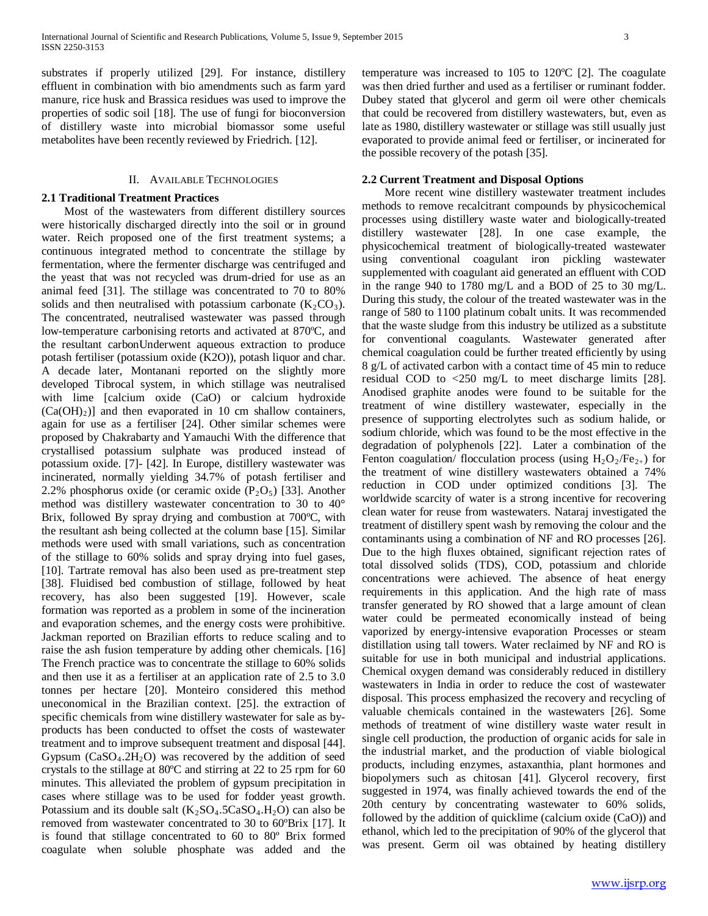substrates if properly utilized [29]. For instance, distillery effluent in combination with bio amendments such as farm yard manure, rice husk and Brassica residues was used to improve the properties of sodic soil [18]. The use of fungi for bioconversion of distillery waste into microbial biomassor some useful metabolites have been recently reviewed by Friedrich. [12].

## II. AVAILABLE TECHNOLOGIES

## **2.1 Traditional Treatment Practices**

 Most of the wastewaters from different distillery sources were historically discharged directly into the soil or in ground water. Reich proposed one of the first treatment systems; a continuous integrated method to concentrate the stillage by fermentation, where the fermenter discharge was centrifuged and the yeast that was not recycled was drum-dried for use as an animal feed [31]. The stillage was concentrated to 70 to 80% solids and then neutralised with potassium carbonate  $(K_2CO_3)$ . The concentrated, neutralised wastewater was passed through low-temperature carbonising retorts and activated at 870ºC, and the resultant carbonUnderwent aqueous extraction to produce potash fertiliser (potassium oxide (K2O)), potash liquor and char. A decade later, Montanani reported on the slightly more developed Tibrocal system, in which stillage was neutralised with lime [calcium oxide (CaO) or calcium hydroxide  $(Ca(OH)<sub>2</sub>)$ ] and then evaporated in 10 cm shallow containers, again for use as a fertiliser [24]. Other similar schemes were proposed by Chakrabarty and Yamauchi With the difference that crystallised potassium sulphate was produced instead of potassium oxide. [7]- [42]. In Europe, distillery wastewater was incinerated, normally yielding 34.7% of potash fertiliser and 2.2% phosphorus oxide (or ceramic oxide  $(P_2O_5)$  [33]. Another method was distillery wastewater concentration to 30 to 40° Brix, followed By spray drying and combustion at 700ºC, with the resultant ash being collected at the column base [15]. Similar methods were used with small variations, such as concentration of the stillage to 60% solids and spray drying into fuel gases, [10]. Tartrate removal has also been used as pre-treatment step [38]. Fluidised bed combustion of stillage, followed by heat recovery, has also been suggested [19]. However, scale formation was reported as a problem in some of the incineration and evaporation schemes, and the energy costs were prohibitive. Jackman reported on Brazilian efforts to reduce scaling and to raise the ash fusion temperature by adding other chemicals. [16] The French practice was to concentrate the stillage to 60% solids and then use it as a fertiliser at an application rate of 2.5 to 3.0 tonnes per hectare [20]. Monteiro considered this method uneconomical in the Brazilian context. [25]. the extraction of specific chemicals from wine distillery wastewater for sale as byproducts has been conducted to offset the costs of wastewater treatment and to improve subsequent treatment and disposal [44]. Gypsum  $(CaSO<sub>4</sub>.2H<sub>2</sub>O)$  was recovered by the addition of seed crystals to the stillage at 80ºC and stirring at 22 to 25 rpm for 60 minutes. This alleviated the problem of gypsum precipitation in cases where stillage was to be used for fodder yeast growth. Potassium and its double salt  $(K_2SO_4.5CaSO_4.H_2O)$  can also be removed from wastewater concentrated to 30 to 60ºBrix [17]. It is found that stillage concentrated to 60 to 80º Brix formed coagulate when soluble phosphate was added and the temperature was increased to 105 to 120ºC [2]. The coagulate was then dried further and used as a fertiliser or ruminant fodder. Dubey stated that glycerol and germ oil were other chemicals that could be recovered from distillery wastewaters, but, even as late as 1980, distillery wastewater or stillage was still usually just evaporated to provide animal feed or fertiliser, or incinerated for the possible recovery of the potash [35].

#### **2.2 Current Treatment and Disposal Options**

 More recent wine distillery wastewater treatment includes methods to remove recalcitrant compounds by physicochemical processes using distillery waste water and biologically-treated distillery wastewater [28]. In one case example, the physicochemical treatment of biologically-treated wastewater using conventional coagulant iron pickling wastewater supplemented with coagulant aid generated an effluent with COD in the range 940 to 1780 mg/L and a BOD of 25 to 30 mg/L. During this study, the colour of the treated wastewater was in the range of 580 to 1100 platinum cobalt units. It was recommended that the waste sludge from this industry be utilized as a substitute for conventional coagulants. Wastewater generated after chemical coagulation could be further treated efficiently by using 8 g/L of activated carbon with a contact time of 45 min to reduce residual COD to <250 mg/L to meet discharge limits [28]. Anodised graphite anodes were found to be suitable for the treatment of wine distillery wastewater, especially in the presence of supporting electrolytes such as sodium halide, or sodium chloride, which was found to be the most effective in the degradation of polyphenols [22]. Later a combination of the Fenton coagulation/ flocculation process (using  $H_2O_2/Fe_{2+}$ ) for the treatment of wine distillery wastewaters obtained a 74% reduction in COD under optimized conditions [3]. The worldwide scarcity of water is a strong incentive for recovering clean water for reuse from wastewaters. Nataraj investigated the treatment of distillery spent wash by removing the colour and the contaminants using a combination of NF and RO processes [26]. Due to the high fluxes obtained, significant rejection rates of total dissolved solids (TDS), COD, potassium and chloride concentrations were achieved. The absence of heat energy requirements in this application. And the high rate of mass transfer generated by RO showed that a large amount of clean water could be permeated economically instead of being vaporized by energy-intensive evaporation Processes or steam distillation using tall towers. Water reclaimed by NF and RO is suitable for use in both municipal and industrial applications. Chemical oxygen demand was considerably reduced in distillery wastewaters in India in order to reduce the cost of wastewater disposal. This process emphasized the recovery and recycling of valuable chemicals contained in the wastewaters [26]. Some methods of treatment of wine distillery waste water result in single cell production, the production of organic acids for sale in the industrial market, and the production of viable biological products, including enzymes, astaxanthia, plant hormones and biopolymers such as chitosan [41]. Glycerol recovery, first suggested in 1974, was finally achieved towards the end of the 20th century by concentrating wastewater to 60% solids, followed by the addition of quicklime (calcium oxide (CaO)) and ethanol, which led to the precipitation of 90% of the glycerol that was present. Germ oil was obtained by heating distillery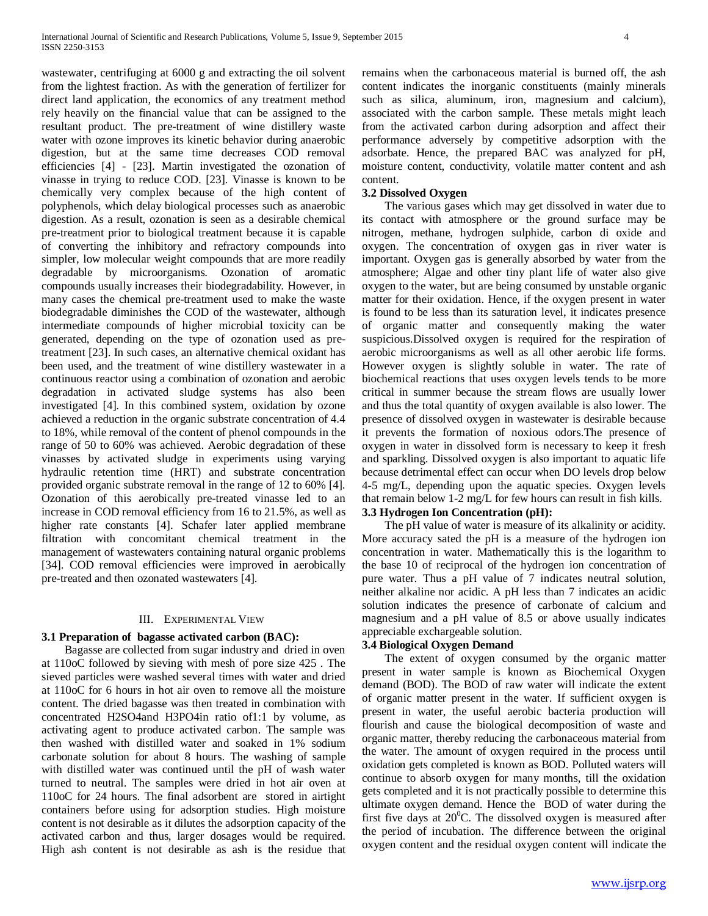wastewater, centrifuging at 6000 g and extracting the oil solvent from the lightest fraction. As with the generation of fertilizer for direct land application, the economics of any treatment method rely heavily on the financial value that can be assigned to the resultant product. The pre-treatment of wine distillery waste water with ozone improves its kinetic behavior during anaerobic digestion, but at the same time decreases COD removal efficiencies [4] - [23]. Martin investigated the ozonation of vinasse in trying to reduce COD. [23]. Vinasse is known to be chemically very complex because of the high content of polyphenols, which delay biological processes such as anaerobic digestion. As a result, ozonation is seen as a desirable chemical pre-treatment prior to biological treatment because it is capable of converting the inhibitory and refractory compounds into simpler, low molecular weight compounds that are more readily degradable by microorganisms. Ozonation of aromatic compounds usually increases their biodegradability. However, in many cases the chemical pre-treatment used to make the waste biodegradable diminishes the COD of the wastewater, although intermediate compounds of higher microbial toxicity can be generated, depending on the type of ozonation used as pretreatment [23]. In such cases, an alternative chemical oxidant has been used, and the treatment of wine distillery wastewater in a continuous reactor using a combination of ozonation and aerobic degradation in activated sludge systems has also been investigated [4]. In this combined system, oxidation by ozone achieved a reduction in the organic substrate concentration of 4.4 to 18%, while removal of the content of phenol compounds in the range of 50 to 60% was achieved. Aerobic degradation of these vinasses by activated sludge in experiments using varying hydraulic retention time (HRT) and substrate concentration provided organic substrate removal in the range of 12 to 60% [4]. Ozonation of this aerobically pre-treated vinasse led to an increase in COD removal efficiency from 16 to 21.5%, as well as higher rate constants [4]. Schafer later applied membrane filtration with concomitant chemical treatment in the management of wastewaters containing natural organic problems [34]. COD removal efficiencies were improved in aerobically pre-treated and then ozonated wastewaters [4].

#### III. EXPERIMENTAL VIEW

#### **3.1 Preparation of bagasse activated carbon (BAC):**

 Bagasse are collected from sugar industry and dried in oven at 110oC followed by sieving with mesh of pore size 425 . The sieved particles were washed several times with water and dried at 110oC for 6 hours in hot air oven to remove all the moisture content. The dried bagasse was then treated in combination with concentrated H2SO4and H3PO4in ratio of1:1 by volume, as activating agent to produce activated carbon. The sample was then washed with distilled water and soaked in 1% sodium carbonate solution for about 8 hours. The washing of sample with distilled water was continued until the pH of wash water turned to neutral. The samples were dried in hot air oven at 110oC for 24 hours. The final adsorbent are stored in airtight containers before using for adsorption studies. High moisture content is not desirable as it dilutes the adsorption capacity of the activated carbon and thus, larger dosages would be required. High ash content is not desirable as ash is the residue that remains when the carbonaceous material is burned off, the ash content indicates the inorganic constituents (mainly minerals such as silica, aluminum, iron, magnesium and calcium), associated with the carbon sample. These metals might leach from the activated carbon during adsorption and affect their performance adversely by competitive adsorption with the adsorbate. Hence, the prepared BAC was analyzed for pH, moisture content, conductivity, volatile matter content and ash content.

## **3.2 Dissolved Oxygen**

 The various gases which may get dissolved in water due to its contact with atmosphere or the ground surface may be nitrogen, methane, hydrogen sulphide, carbon di oxide and oxygen. The concentration of oxygen gas in river water is important. Oxygen gas is generally absorbed by water from the atmosphere; Algae and other tiny plant life of water also give oxygen to the water, but are being consumed by unstable organic matter for their oxidation. Hence, if the oxygen present in water is found to be less than its saturation level, it indicates presence of organic matter and consequently making the water suspicious.Dissolved oxygen is required for the respiration of aerobic microorganisms as well as all other aerobic life forms. However oxygen is slightly soluble in water. The rate of biochemical reactions that uses oxygen levels tends to be more critical in summer because the stream flows are usually lower and thus the total quantity of oxygen available is also lower. The presence of dissolved oxygen in wastewater is desirable because it prevents the formation of noxious odors.The presence of oxygen in water in dissolved form is necessary to keep it fresh and sparkling. Dissolved oxygen is also important to aquatic life because detrimental effect can occur when DO levels drop below 4-5 mg/L, depending upon the aquatic species. Oxygen levels that remain below 1-2 mg/L for few hours can result in fish kills.

# **3.3 Hydrogen Ion Concentration (pH):**

 The pH value of water is measure of its alkalinity or acidity. More accuracy sated the pH is a measure of the hydrogen ion concentration in water. Mathematically this is the logarithm to the base 10 of reciprocal of the hydrogen ion concentration of pure water. Thus a pH value of 7 indicates neutral solution, neither alkaline nor acidic. A pH less than 7 indicates an acidic solution indicates the presence of carbonate of calcium and magnesium and a pH value of 8.5 or above usually indicates appreciable exchargeable solution.

#### **3.4 Biological Oxygen Demand**

 The extent of oxygen consumed by the organic matter present in water sample is known as Biochemical Oxygen demand (BOD). The BOD of raw water will indicate the extent of organic matter present in the water. If sufficient oxygen is present in water, the useful aerobic bacteria production will flourish and cause the biological decomposition of waste and organic matter, thereby reducing the carbonaceous material from the water. The amount of oxygen required in the process until oxidation gets completed is known as BOD. Polluted waters will continue to absorb oxygen for many months, till the oxidation gets completed and it is not practically possible to determine this ultimate oxygen demand. Hence the BOD of water during the first five days at  $20^{\circ}$ C. The dissolved oxygen is measured after the period of incubation. The difference between the original oxygen content and the residual oxygen content will indicate the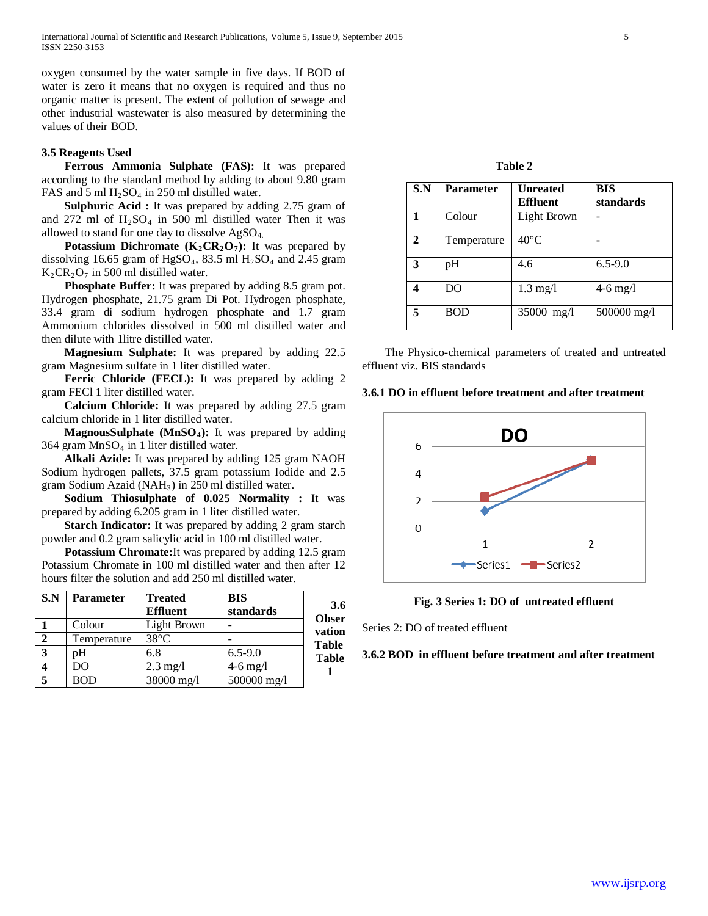oxygen consumed by the water sample in five days. If BOD of water is zero it means that no oxygen is required and thus no organic matter is present. The extent of pollution of sewage and other industrial wastewater is also measured by determining the values of their BOD.

### **3.5 Reagents Used**

 **Ferrous Ammonia Sulphate (FAS):** It was prepared according to the standard method by adding to about 9.80 gram FAS and 5 ml  $H_2SO_4$  in 250 ml distilled water.

**Sulphuric Acid :** It was prepared by adding 2.75 gram of and 272 ml of  $H_2SO_4$  in 500 ml distilled water Then it was allowed to stand for one day to dissolve  $AgSO<sub>4</sub>$ .

**Potassium Dichromate (K<sub>2</sub>CR<sub>2</sub>O<sub>7</sub>): It was prepared by** dissolving 16.65 gram of HgSO<sub>4</sub>, 83.5 ml H<sub>2</sub>SO<sub>4</sub> and 2.45 gram  $K_2$ CR<sub>2</sub>O<sub>7</sub> in 500 ml distilled water.

 **Phosphate Buffer:** It was prepared by adding 8.5 gram pot. Hydrogen phosphate, 21.75 gram Di Pot. Hydrogen phosphate, 33.4 gram di sodium hydrogen phosphate and 1.7 gram Ammonium chlorides dissolved in 500 ml distilled water and then dilute with 1litre distilled water.

 **Magnesium Sulphate:** It was prepared by adding 22.5 gram Magnesium sulfate in 1 liter distilled water.

Ferric Chloride (FECL): It was prepared by adding 2 gram FECl 1 liter distilled water.

 **Calcium Chloride:** It was prepared by adding 27.5 gram calcium chloride in 1 liter distilled water.

**MagnousSulphate (MnSO<sub>4</sub>): It was prepared by adding**  $364$  gram MnSO<sub>4</sub> in 1 liter distilled water.

 **Alkali Azide:** It was prepared by adding 125 gram NAOH Sodium hydrogen pallets, 37.5 gram potassium Iodide and 2.5 gram Sodium Azaid (NAH3) in 250 ml distilled water.

 **Sodium Thiosulphate of 0.025 Normality :** It was prepared by adding 6.205 gram in 1 liter distilled water.

**Starch Indicator:** It was prepared by adding 2 gram starch powder and 0.2 gram salicylic acid in 100 ml distilled water.

 **Potassium Chromate:**It was prepared by adding 12.5 gram Potassium Chromate in 100 ml distilled water and then after 12 hours filter the solution and add 250 ml distilled water.

| S.N            | <b>Parameter</b> | <b>Treated</b>     | <b>BIS</b>  |                     |
|----------------|------------------|--------------------|-------------|---------------------|
|                |                  | <b>Effluent</b>    | standards   | 3.6<br><b>Obser</b> |
|                | Colour           | Light Brown        |             | vation              |
| $\overline{2}$ | Temperature      | $38^{\circ}$ C     |             | <b>Table</b>        |
| $\mathbf{3}$   | pН               | 6.8                | $6.5 - 9.0$ | <b>Table</b>        |
|                | DO               | $2.3 \text{ mg}/l$ | $4-6$ mg/l  |                     |
| $\overline{5}$ | <b>BOD</b>       | 38000 mg/l         | 500000 mg/l |                     |

**Table 2**

| S.N | <b>Parameter</b> | <b>Unreated</b>    | <b>BIS</b>  |
|-----|------------------|--------------------|-------------|
|     |                  | <b>Effluent</b>    | standards   |
|     | Colour           | Light Brown        |             |
| 2   | Temperature      | $40^{\circ}$ C     |             |
| 3   | pH               | 4.6                | $6.5 - 9.0$ |
|     | DO               | $1.3 \text{ mg}/l$ | $4-6$ mg/l  |
|     | BOD              | 35000 mg/l         | 500000 mg/l |

 The Physico-chemical parameters of treated and untreated effluent viz. BIS standards

# **3.6.1 DO in effluent before treatment and after treatment**





Series 2: DO of treated effluent

#### **3.6.2 BOD in effluent before treatment and after treatment**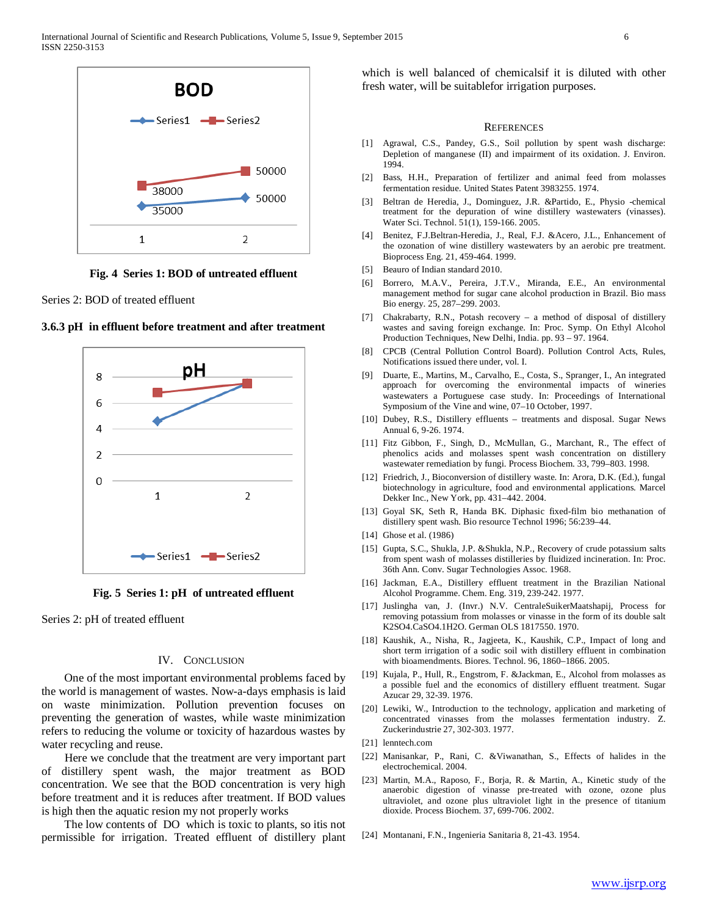

**Fig. 4 Series 1: BOD of untreated effluent**

Series 2: BOD of treated effluent



**3.6.3 pH in effluent before treatment and after treatment**

**Fig. 5 Series 1: pH of untreated effluent**

Series 2: pH of treated effluent

#### IV. CONCLUSION

 One of the most important environmental problems faced by the world is management of wastes. Now-a-days emphasis is laid on waste minimization. Pollution prevention focuses on preventing the generation of wastes, while waste minimization refers to reducing the volume or toxicity of hazardous wastes by water recycling and reuse.

 Here we conclude that the treatment are very important part of distillery spent wash, the major treatment as BOD concentration. We see that the BOD concentration is very high before treatment and it is reduces after treatment. If BOD values is high then the aquatic resion my not properly works

 The low contents of DO which is toxic to plants, so itis not permissible for irrigation. Treated effluent of distillery plant which is well balanced of chemicalsif it is diluted with other fresh water, will be suitablefor irrigation purposes.

#### **REFERENCES**

- [1] Agrawal, C.S., Pandey, G.S., Soil pollution by spent wash discharge: Depletion of manganese (II) and impairment of its oxidation. J. Environ. 1994.
- [2] Bass, H.H., Preparation of fertilizer and animal feed from molasses fermentation residue. United States Patent 3983255. 1974.
- [3] Beltran de Heredia, J., Dominguez, J.R. &Partido, E., Physio -chemical treatment for the depuration of wine distillery wastewaters (vinasses). Water Sci. Technol. 51(1), 159-166. 2005.
- [4] Benitez, F.J.Beltran-Heredia, J., Real, F.J. &Acero, J.L., Enhancement of the ozonation of wine distillery wastewaters by an aerobic pre treatment. Bioprocess Eng. 21, 459-464. 1999.
- [5] Beauro of Indian standard 2010.
- [6] Borrero, M.A.V., Pereira, J.T.V., Miranda, E.E., An environmental management method for sugar cane alcohol production in Brazil. Bio mass Bio energy. 25, 287–299. 2003.
- [7] Chakrabarty, R.N., Potash recovery a method of disposal of distillery wastes and saving foreign exchange. In: Proc. Symp. On Ethyl Alcohol Production Techniques, New Delhi, India. pp. 93 – 97. 1964.
- [8] CPCB (Central Pollution Control Board). Pollution Control Acts, Rules, Notifications issued there under, vol. I.
- [9] Duarte, E., Martins, M., Carvalho, E., Costa, S., Spranger, I., An integrated approach for overcoming the environmental impacts of wineries wastewaters a Portuguese case study. In: Proceedings of International Symposium of the Vine and wine, 07–10 October, 1997.
- [10] Dubey, R.S., Distillery effluents treatments and disposal. Sugar News Annual 6, 9-26. 1974.
- [11] Fitz Gibbon, F., Singh, D., McMullan, G., Marchant, R., The effect of phenolics acids and molasses spent wash concentration on distillery wastewater remediation by fungi. Process Biochem. 33, 799–803. 1998.
- [12] Friedrich, J., Bioconversion of distillery waste. In: Arora, D.K. (Ed.), fungal biotechnology in agriculture, food and environmental applications. Marcel Dekker Inc., New York, pp. 431–442. 2004.
- [13] Goyal SK, Seth R, Handa BK. Diphasic fixed-film bio methanation of distillery spent wash. Bio resource Technol 1996; 56:239–44.
- [14] Ghose et al. (1986)
- [15] Gupta, S.C., Shukla, J.P. &Shukla, N.P., Recovery of crude potassium salts from spent wash of molasses distilleries by fluidized incineration. In: Proc. 36th Ann. Conv. Sugar Technologies Assoc. 1968.
- [16] Jackman, E.A., Distillery effluent treatment in the Brazilian National Alcohol Programme. Chem. Eng. 319, 239-242. 1977.
- [17] Juslingha van, J. (Invr.) N.V. CentraleSuikerMaatshapij, Process for removing potassium from molasses or vinasse in the form of its double salt K2SO4.CaSO4.1H2O. German OLS 1817550. 1970.
- [18] Kaushik, A., Nisha, R., Jagjeeta, K., Kaushik, C.P., Impact of long and short term irrigation of a sodic soil with distillery effluent in combination with bioamendments. Biores. Technol. 96, 1860–1866. 2005.
- [19] Kujala, P., Hull, R., Engstrom, F. &Jackman, E., Alcohol from molasses as a possible fuel and the economics of distillery effluent treatment. Sugar Azucar 29, 32-39. 1976.
- [20] Lewiki, W., Introduction to the technology, application and marketing of concentrated vinasses from the molasses fermentation industry. Z. Zuckerindustrie 27, 302-303. 1977.
- [21] lenntech.com
- [22] Manisankar, P., Rani, C. &Viwanathan, S., Effects of halides in the electrochemical. 2004.
- [23] Martin, M.A., Raposo, F., Borja, R. & Martin, A., Kinetic study of the anaerobic digestion of vinasse pre-treated with ozone, ozone plus ultraviolet, and ozone plus ultraviolet light in the presence of titanium dioxide. Process Biochem. 37, 699-706. 2002.
- [24] Montanani, F.N., Ingenieria Sanitaria 8, 21-43. 1954.